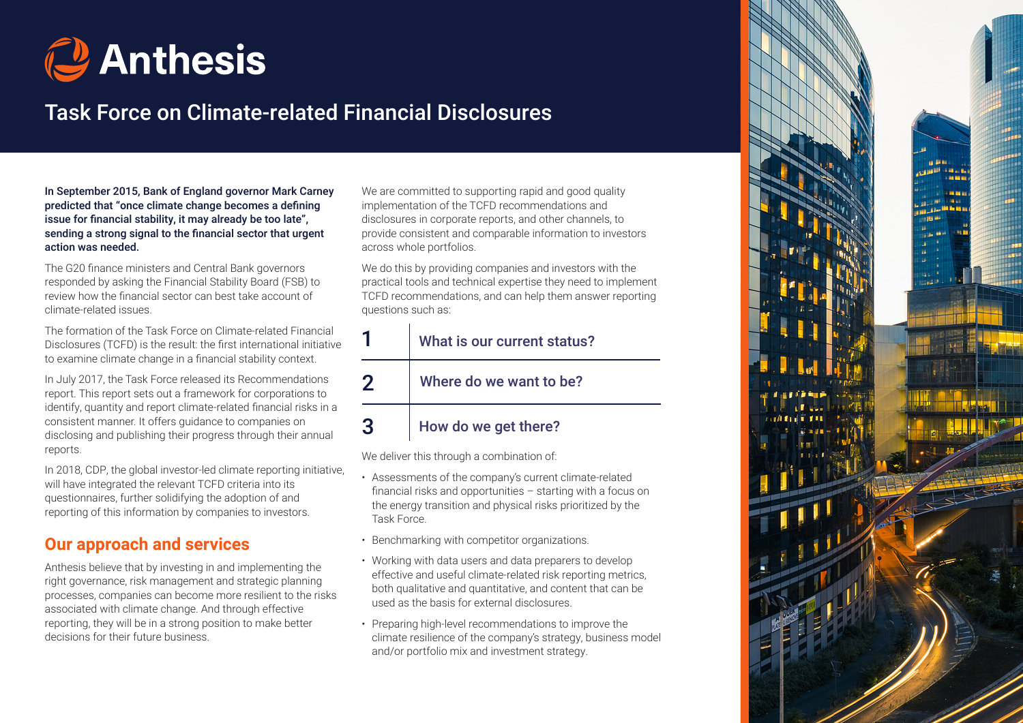

# Task Force on Climate-related Financial Disclosures

In September 2015, Bank of England governor Mark Carney predicted that "once climate change becomes a defining issue for financial stability, it may already be too late", sending a strong signal to the financial sector that urgent action was needed.

The G20 finance ministers and Central Bank governors responded by asking the Financial Stability Board (FSB) to review how the financial sector can best take account of climate-related issues.

The formation of the Task Force on Climate-related Financial Disclosures (TCFD) is the result: the first international initiative to examine climate change in a financial stability context.

In July 2017, the Task Force released its Recommendations report. This report sets out a framework for corporations to identify, quantity and report climate-related financial risks in a consistent manner. It offers guidance to companies on disclosing and publishing their progress through their annual reports.

In 2018, CDP, the global investor-led climate reporting initiative, will have integrated the relevant TCFD criteria into its questionnaires, further solidifying the adoption of and reporting of this information by companies to investors.

## **Our approach and services**

Anthesis believe that by investing in and implementing the right governance, risk management and strategic planning processes, companies can become more resilient to the risks associated with climate change. And through effective reporting, they will be in a strong position to make better decisions for their future business.

We are committed to supporting rapid and good quality implementation of the TCFD recommendations and disclosures in corporate reports, and other channels, to provide consistent and comparable information to investors across whole portfolios.

We do this by providing companies and investors with the practical tools and technical expertise they need to implement TCFD recommendations, and can help them answer reporting questions such as:

### 1 2 3 What is our current status? Where do we want to be? How do we get there?

We deliver this through a combination of:

- Assessments of the company's current climate-related financial risks and opportunities – starting with a focus on the energy transition and physical risks prioritized by the Task Force.
- Benchmarking with competitor organizations.
- Working with data users and data preparers to develop effective and useful climate-related risk reporting metrics, both qualitative and quantitative, and content that can be used as the basis for external disclosures.
- Preparing high-level recommendations to improve the climate resilience of the company's strategy, business model and/or portfolio mix and investment strategy.